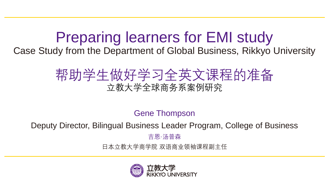# Preparing learners for EMI study

Case Study from the Department of Global Business, Rikkyo University

## 帮助学生做好学习全英文课程的准备 立教大学全球商务系案例研究

Gene Thompson

Deputy Director, Bilingual Business Leader Program, College of Business

吉恩·汤普森

日本立教大学商学院 双语商业领袖课程副主任

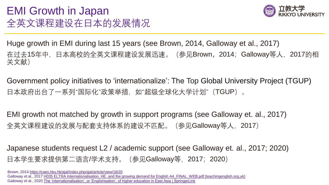#### EMI Growth in Japan 全英文课程建设在日本的发展情况



Huge growth in EMI during last 15 years (see Brown, 2014, Galloway et al., 2017) 在过去15年中,日本高校的全英文课程建设发展迅速。(参见Brown,2014;Galloway等人,2017的相 关文献)

Government policy initiatives to 'internationalize': The Top Global University Project (TGUP) 日本政府出台了一系列"国际化"政策举措,如"超级全球化大学计划"(TGUP)。

EMI growth not matched by growth in support programs (see Galloway et. al., 2017) 全英文课程建设的发展与配套支持体系的建设不匹配。(参见Galloway等人, 2017)

Japanese students request L2 / academic support (see Galloway et. al., 2017; 2020) 日本学生要求提供第二语言/学术支持。(参见Galloway等,2017;2020)

Brown, 2014 <https://caes.hku.hk/ajal/index.php/ajal/article/view/18/20> Galloway et al., 2017 H035 ELTRA Internationalisation HE and the growing demand for English A4 FINAL WEB.pdf (teachingenglish.org.uk) Galloway et al., 2020 [The 'internationalisation', or 'Englishisation', of higher education in East Asia | SpringerLink](https://link.springer.com/article/10.1007/s10734-019-00486-1)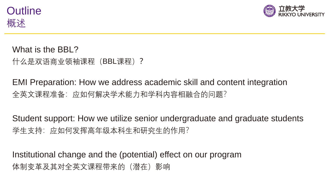



What is the BBL? 什么是双语商业领袖课程(BBL课程)?

EMI Preparation: How we address academic skill and content integration 全英文课程准备:应如何解决学术能力和学科内容相融合的问题?

Student support: How we utilize senior undergraduate and graduate students 学生支持:应如何发挥高年级本科生和研究生的作用?

Institutional change and the (potential) effect on our program 体制变革及其对全英文课程带来的(潜在)影响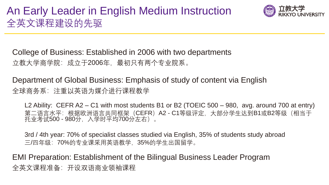

College of Business: Established in 2006 with two departments 立教大学商学院:成立于2006年, 最初只有两个专业院系。

Department of Global Business: Emphasis of study of content via English 全球商务系:注重以英语为媒介进行课程教学

L2 Ability: CEFR A2 – C1 with most students B1 or B2 (TOEIC 500 – 980, avg. around 700 at entry) 第二语言水平:根据欧洲语言共同框架(CEFR)A2 - C1等级评定,大部分学生达到B1或B2等级(相当于 托业考试500 - 980分,入学时平均700分左右)。

3rd / 4th year: 70% of specialist classes studied via English, 35% of students study abroad 三/四年级:70%的专业课采用英语教学,35%的学生出国留学。

EMI Preparation: Establishment of the Bilingual Business Leader Program 全英文课程准备:开设双语商业领袖课程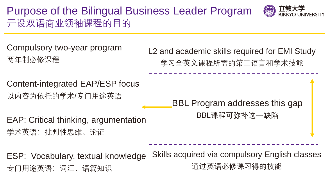## Purpose of the Bilingual Business Leader Program 开设双语商业领袖课程的目的



Compulsory two-year program 两年制必修课程

L2 and academic skills required for EMI Study 学习全英文课程所需的第二语言和学术技能

Content-integrated EAP/ESP focus 以内容为依托的学术/专门用途英语

BBL Program addresses this gap

BBL课程可弥补这一缺陷

EAP: Critical thinking, argumentation 学术英语:批判性思维、论证

Skills acquired via compulsory English classes 通过英语必修课习得的技能 ESP: Vocabulary, textual knowledge 专门用途英语:词汇、语篇知识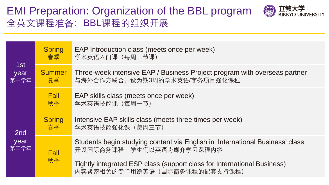#### EMI Preparation: Organization of the BBL program 全英文课程准备:BBL课程的组织开展



| 1st<br>year<br>第一学年 | <b>Spring</b><br>春季 | EAP Introduction class (meets once per week)<br>学术英语入门课 (每周一节课)                                            |  |  |
|---------------------|---------------------|------------------------------------------------------------------------------------------------------------|--|--|
|                     | Summer<br>夏季        | Three-week intensive EAP / Business Project program with overseas partner<br>与海外合作方联合开设为期3周的学术英语/商务项目强化课程  |  |  |
|                     | <b>Fall</b><br>秋季   | EAP skills class (meets once per week)<br>学术英语技能课 (每周一节)                                                   |  |  |
| 2nd<br>year<br>第二学年 | <b>Spring</b><br>春季 | Intensive EAP skills class (meets three times per week)<br>学术英语技能强化课 (每周三节)                                |  |  |
|                     | <b>Fall</b><br>秋季   | Students begin studying content via English in 'International Business' class<br>开设国际商务课程, 学生们以英语为媒介学习课程内容 |  |  |
|                     |                     | Tightly integrated ESP class (support class for International Business)<br>内容紧密相关的专门用途英语(国际商务课程的配套支持课程)    |  |  |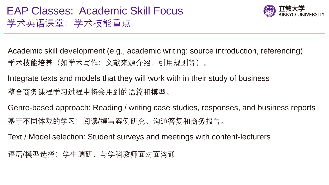## EAP Classes: Academic Skill Focus 学术英语课堂:学术技能重点



Academic skill development (e.g., academic writing: source introduction, referencing) 学术技能培养(如学术写作:文献来源介绍、引用规则等)。

Integrate texts and models that they will work with in their study of business 整合商务课程学习过程中将会用到的语篇和模型。

Genre-based approach: Reading / writing case studies, responses, and business reports 基于不同体裁的学习:阅读/撰写案例研究、沟通答复和商务报告。

Text / Model selection: Student surveys and meetings with content-lecturers

语篇/模型选择:学生调研、与学科教师面对面沟通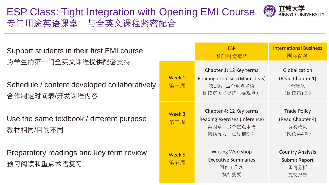### ESP Class: Tight Integration with Opening EMI Course © 立教大学 专门用途英语课堂:与全英文课程紧密配合



| Support students in their first EMI course                                           |               | <b>ESP</b><br>专门用途英语                                                                       | <b>International Business</b><br>国际商务                           |
|--------------------------------------------------------------------------------------|---------------|--------------------------------------------------------------------------------------------|-----------------------------------------------------------------|
| 为学生的第一门全英文课程提供配套支持<br>Schedule / content developed collaboratively<br>合作制定时间表/开发课程内容 | Week 1<br>第一周 | Chapter 1: 12 Key terms<br>Reading exercises (Main ideas)<br>第1章: 12个重点术语<br>阅读练习 (提炼主要观点) | Globalization<br>(Read Chapter 1)<br>全球化<br>(阅读第1章)             |
| Use the same textbook / different purpose<br>教材相同/目的不同                               | Week 3<br>第三周 | Chapter 4: 12 Key terms<br>Reading exercises (Inference)<br>第四章: 12个重点术语<br>阅读练习 (进行推断)    | <b>Trade Policy</b><br>(Read Chapter 4)<br>贸易政策<br>(阅读第4章)      |
| Preparatory readings and key term review<br>预习阅读和重点术语复习                              | Week 5<br>第五周 | <b>Writing Workshop</b><br><b>Executive Summaries</b><br>写作工作坊<br>执行摘要                     | <b>Country Analysis</b><br><b>Submit Report</b><br>国情分析<br>提交报告 |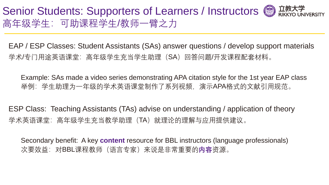#### Senior Students: Supporters of Learners / Instructors (a)  $\overline{\mathbb{Z}}$ 高年级学生:可助课程学生/教师一臂之力

EAP / ESP Classes: Student Assistants (SAs) answer questions / develop support materials 学术/专门用途英语课堂:高年级学生充当学生助理(SA)回答问题/开发课程配套材料。

Example: SAs made a video series demonstrating APA citation style for the 1st year EAP class 举例: 学生助理为一年级的学术英语课堂制作了系列视频, 演示APA格式的文献引用规范。

ESP Class: Teaching Assistants (TAs) advise on understanding / application of theory 学术英语课堂:高年级学生充当教学助理(TA)就理论的理解与应用提供建议。

Secondary benefit: A key **content** resource for BBL instructors (language professionals) 次要效益:对BBL课程教师(语言专家)来说是非常重要的**内容**资源。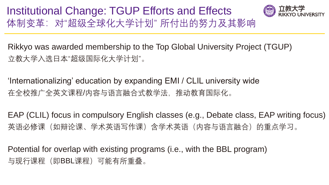Institutional Change: TGUP Efforts and Effects 体制变革:对"超级全球化大学计划" 所付出的努力及其影响



Rikkyo was awarded membership to the Top Global University Project (TGUP) 立教大学入选日本"超级国际化大学计划"。

'Internationalizing' education by expanding EMI / CLIL university wide 在全校推广全英文课程/内容与语言融合式教学法,推动教育国际化。

EAP (CLIL) focus in compulsory English classes (e.g., Debate class, EAP writing focus) 英语必修课(如辩论课、学术英语写作课)含学术英语(内容与语言融合)的重点学习。

Potential for overlap with existing programs (i.e., with the BBL program) 与现行课程(即BBL课程)可能有所重叠。